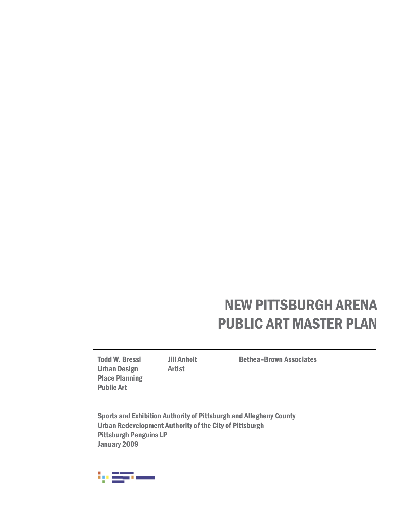Urban Design Artist Place Planning Public Art

Todd W. Bressi Jill Anholt Bethea-Brown Associates

Sports and Exhibition Authority of Pittsburgh and Allegheny County Urban Redevelopment Authority of the City of Pittsburgh Pittsburgh Penguins LP January 2009

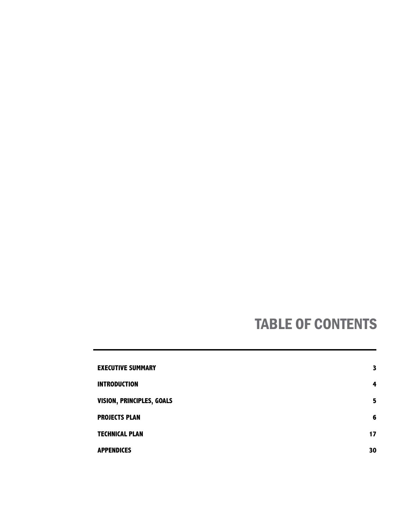# TABLE OF CONTENTS

| <b>EXECUTIVE SUMMARY</b>  | 3  |
|---------------------------|----|
| <b>INTRODUCTION</b>       | 4  |
| VISION, PRINCIPLES, GOALS | 5  |
| <b>PROJECTS PLAN</b>      | 6  |
| <b>TECHNICAL PLAN</b>     | 17 |
| <b>APPENDICES</b>         | 30 |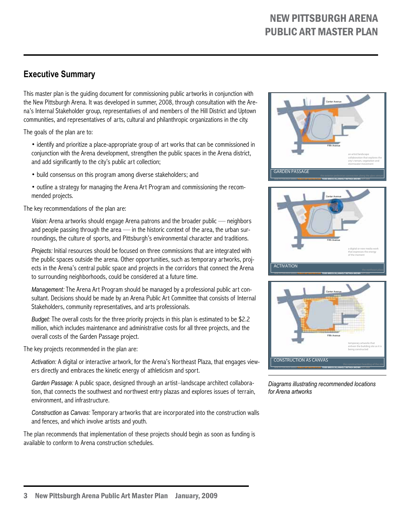# **Executive Summary**

This master plan is the guiding document for commissioning public artworks in conjunction with the New Pittsburgh Arena. It was developed in summer, 2008, through consultation with the Arena's Internal Stakeholder group, representatives of and members of the Hill District and Uptown communities, and representatives of arts, cultural and philanthropic organizations in the city.

The goals of the plan are to:

• identify and prioritize a place-appropriate group of art works that can be commissioned in conjunction with the Arena development, strengthen the public spaces in the Arena district, and add significantly to the city's public art collection;

- build consensus on this program among diverse stakeholders; and
- outline a strategy for managing the Arena Art Program and commissioning the recommended projects.

The key recommendations of the plan are:

*Vision:* Arena artworks should engage Arena patrons and the broader public — neighbors and people passing through the area — in the historic context of the area, the urban surroundings, the culture of sports, and Pittsburgh's environmental character and traditions.

*Projects:* Initial resources should be focused on three commissions that are integrated with the public spaces outside the arena. Other opportunities, such as temporary artworks, projects in the Arena's central public space and projects in the corridors that connect the Arena to surrounding neighborhoods, could be considered at a future time.

*Management:* The Arena Art Program should be managed by a professional public art consultant. Decisions should be made by an Arena Public Art Committee that consists of Internal Stakeholders, community representatives, and arts professionals.

*Budget:* The overall costs for the three priority projects in this plan is estimated to be \$2.2 million, which includes maintenance and administrative costs for all three projects, and the overall costs of the Garden Passage project.

The key projects recommended in the plan are:

*Activation:* A digital or interactive artwork, for the Arena's Northeast Plaza, that engages viewers directly and embraces the kinetic energy of athleticism and sport.

*Garden Passage:* A public space, designed through an artist–landscape architect collaboration, that connects the southwest and northwest entry plazas and explores issues of terrain, environment, and infrastructure.

*Construction as Canvas:* Temporary artworks that are incorporated into the construction walls and fences, and which involve artists and youth.

The plan recommends that implementation of these projects should begin as soon as funding is available to conform to Arena construction schedules.







*Diagrams illustrating recommended locations for Arena artworks*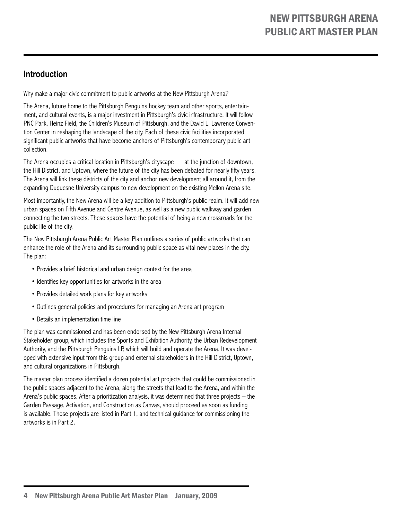# **Introduction**

Why make a major civic commitment to public artworks at the New Pittsburgh Arena?

The Arena, future home to the Pittsburgh Penguins hockey team and other sports, entertainment, and cultural events, is a major investment in Pittsburgh's civic infrastructure. It will follow PNC Park, Heinz Field, the Children's Museum of Pittsburgh, and the David L. Lawrence Convention Center in reshaping the landscape of the city. Each of these civic facilities incorporated significant public artworks that have become anchors of Pittsburgh's contemporary public art collection.

The Arena occupies a critical location in Pittsburgh's cityscape — at the junction of downtown, the Hill District, and Uptown, where the future of the city has been debated for nearly fifty years. The Arena will link these districts of the city and anchor new development all around it, from the expanding Duquesne University campus to new development on the existing Mellon Arena site.

Most importantly, the New Arena will be a key addition to Pittsburgh's public realm. It will add new urban spaces on Fifth Avenue and Centre Avenue, as well as a new public walkway and garden connecting the two streets. These spaces have the potential of being a new crossroads for the public life of the city.

The New Pittsburgh Arena Public Art Master Plan outlines a series of public artworks that can enhance the role of the Arena and its surrounding public space as vital new places in the city. The plan:

- Provides a brief historical and urban design context for the area
- Identifies key opportunities for artworks in the area
- Provides detailed work plans for key artworks
- Outlines general policies and procedures for managing an Arena art program
- Details an implementation time line

The plan was commissioned and has been endorsed by the New Pittsburgh Arena Internal Stakeholder group, which includes the Sports and Exhibition Authority, the Urban Redevelopment Authority, and the Pittsburgh Penguins LP, which will build and operate the Arena. It was developed with extensive input from this group and external stakeholders in the Hill District, Uptown, and cultural organizations in Pittsburgh.

The master plan process identified a dozen potential art projects that could be commissioned in the public spaces adjacent to the Arena, along the streets that lead to the Arena, and within the Arena's public spaces. After a prioritization analysis, it was determined that three projects – the Garden Passage, Activation, and Construction as Canvas, should proceed as soon as funding is available. Those projects are listed in Part 1, and technical guidance for commissioning the artworks is in Part 2.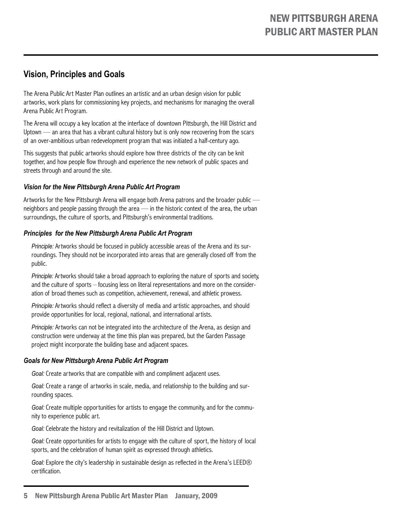# **Vision, Principles and Goals**

The Arena Public Art Master Plan outlines an artistic and an urban design vision for public artworks, work plans for commissioning key projects, and mechanisms for managing the overall Arena Public Art Program.

The Arena will occupy a key location at the interface of downtown Pittsburgh, the Hill District and Uptown — an area that has a vibrant cultural history but is only now recovering from the scars of an over-ambitious urban redevelopment program that was initiated a half-century ago.

This suggests that public artworks should explore how three districts of the city can be knit together, and how people flow through and experience the new network of public spaces and streets through and around the site.

### *Vision for the New Pittsburgh Arena Public Art Program*

Artworks for the New Pittsburgh Arena will engage both Arena patrons and the broader public neighbors and people passing through the area — in the historic context of the area, the urban surroundings, the culture of sports, and Pittsburgh's environmental traditions.

#### *Principles for the New Pittsburgh Arena Public Art Program*

*Principle:* Artworks should be focused in publicly accessible areas of the Arena and its surroundings. They should not be incorporated into areas that are generally closed off from the public.

*Principle:* Artworks should take a broad approach to exploring the nature of sports and society, and the culture of sports – focusing less on literal representations and more on the consideration of broad themes such as competition, achievement, renewal, and athletic prowess.

*Principle:* Artworks should reflect a diversity of media and artistic approaches, and should provide opportunities for local, regional, national, and international artists.

*Principle:* Artworks can not be integrated into the architecture of the Arena, as design and construction were underway at the time this plan was prepared, but the Garden Passage project might incorporate the building base and adjacent spaces.

#### *Goals for New Pittsburgh Arena Public Art Program*

*Goal:* Create artworks that are compatible with and compliment adjacent uses.

*Goal:* Create a range of artworks in scale, media, and relationship to the building and surrounding spaces.

*Goal:* Create multiple opportunities for artists to engage the community, and for the community to experience public art.

*Goal:* Celebrate the history and revitalization of the Hill District and Uptown.

*Goal:* Create opportunities for artists to engage with the culture of sport, the history of local sports, and the celebration of human spirit as expressed through athletics.

*Goal:* Explore the city's leadership in sustainable design as reflected in the Arena's LEED® certification.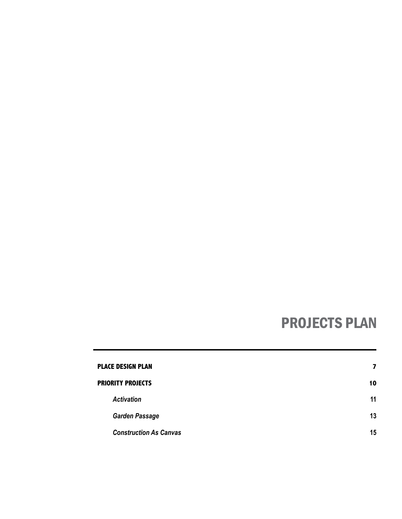# PROJECTS PLAN

| <b>PLACE DESIGN PLAN</b>      | 7  |
|-------------------------------|----|
| <b>PRIORITY PROJECTS</b>      | 10 |
| <b>Activation</b>             | 11 |
| <b>Garden Passage</b>         | 13 |
| <b>Construction As Canvas</b> | 15 |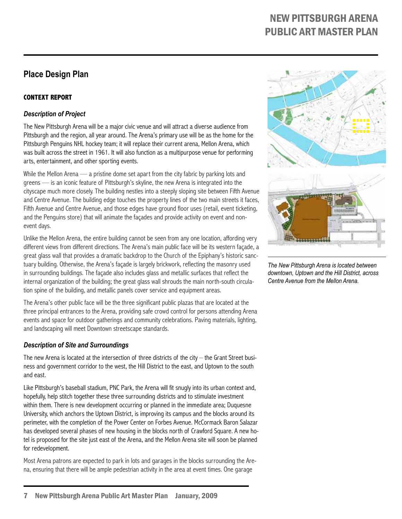# **Place Design Plan**

# **Context Report**

### *Description of Project*

The New Pittsburgh Arena will be a major civic venue and will attract a diverse audience from Pittsburgh and the region, all year around. The Arena's primary use will be as the home for the Pittsburgh Penguins NHL hockey team; it will replace their current arena, Mellon Arena, which was built across the street in 1961. It will also function as a multipurpose venue for performing arts, entertainment, and other sporting events.

While the Mellon Arena — a pristine dome set apart from the city fabric by parking lots and greens — is an iconic feature of Pittsburgh's skyline, the new Arena is integrated into the cityscape much more closely. The building nestles into a steeply sloping site between Fifth Avenue and Centre Avenue. The building edge touches the property lines of the two main streets it faces, Fifth Avenue and Centre Avenue, and those edges have ground floor uses (retail, event ticketing, and the Penguins store) that will animate the façades and provide activity on event and nonevent days.

Unlike the Mellon Arena, the entire building cannot be seen from any one location, affording very different views from different directions. The Arena's main public face will be its western façade, a great glass wall that provides a dramatic backdrop to the Church of the Epiphany's historic sanctuary building. Otherwise, the Arena's façade is largely brickwork, reflecting the masonry used in surrounding buildings. The façade also includes glass and metallic surfaces that reflect the internal organization of the building; the great glass wall shrouds the main north-south circulation spine of the building, and metallic panels cover service and equipment areas.

The Arena's other public face will be the three significant public plazas that are located at the three principal entrances to the Arena, providing safe crowd control for persons attending Arena events and space for outdoor gatherings and community celebrations. Paving materials, lighting, and landscaping will meet Downtown streetscape standards.

### *Description of Site and Surroundings*

The new Arena is located at the intersection of three districts of the city – the Grant Street business and government corridor to the west, the Hill District to the east, and Uptown to the south and east.

Like Pittsburgh's baseball stadium, PNC Park, the Arena will fit snugly into its urban context and, hopefully, help stitch together these three surrounding districts and to stimulate investment within them. There is new development occurring or planned in the immediate area; Duquesne University, which anchors the Uptown District, is improving its campus and the blocks around its perimeter, with the completion of the Power Center on Forbes Avenue. McCormack Baron Salazar has developed several phases of new housing in the blocks north of Crawford Square. A new hotel is proposed for the site just east of the Arena, and the Mellon Arena site will soon be planned for redevelopment.

Most Arena patrons are expected to park in lots and garages in the blocks surrounding the Arena, ensuring that there will be ample pedestrian activity in the area at event times. One garage



*The New Pittsburgh Arena is located between downtown, Uptown and the Hill District, across Centre Avenue from the Mellon Arena.*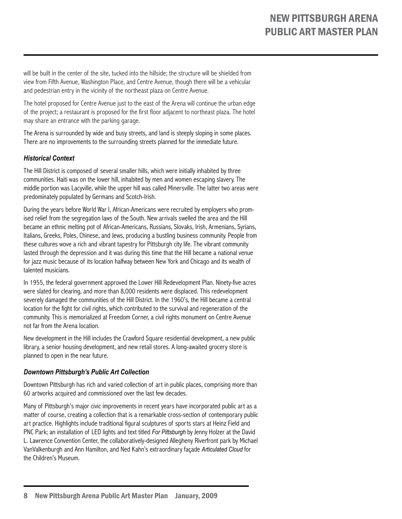will be built in the center of the site, tucked into the hillside; the structure will be shielded from view from Fifth Avenue, Washington Place, and Centre Avenue, though there will be a vehicular and pedestrian entry in the vicinity of the northeast plaza on Centre Avenue.

The hotel proposed for Centre Avenue just to the east of the Arena will continue the urban edge of the project; a restaurant is proposed for the first floor adjacent to northeast plaza. The hotel may share an entrance with the parking garage.

The Arena is surrounded by wide and busy streets, and land is steeply sloping in some places. There are no improvements to the surrounding streets planned for the immediate future.

### *Historical Context*

The Hill District is composed of several smaller hills, which were initially inhabited by three communities. Haiti was on the lower hill, inhabited by men and women escaping slavery. The middle portion was Lacyville, while the upper hill was called Minersville. The latter two areas were predominately populated by Germans and Scotch-Irish.

During the years before World War I, African-Americans were recruited by employers who promised relief from the segregation laws of the South. New arrivals swelled the area and the Hill became an ethnic melting pot of African-Americans, Russians, Slovaks, Irish, Armenians, Syrians, Italians, Greeks, Poles, Chinese, and Jews, producing a bustling business community. People from these cultures wove a rich and vibrant tapestry for Pittsburgh city life. The vibrant community lasted through the depression and it was during this time that the Hill became a national venue for jazz music because of its location halfway between New York and Chicago and its wealth of talented musicians.

In 1955, the federal government approved the Lower Hill Redevelopment Plan. Ninety-five acres were slated for clearing, and more than 8,000 residents were displaced. This redevelopment severely damaged the communities of the Hill District. In the 1960's, the Hill became a central location for the fight for civil rights, which contributed to the survival and regeneration of the community. This is memorialized at Freedom Corner, a civil rights monument on Centre Avenue not far from the Arena location.

New development in the Hill includes the Crawford Square residential development, a new public library, a senior housing development, and new retail stores. A long-awaited grocery store is planned to open in the near future.

#### *Downtown Pittsburgh's Public Art Collection*

Downtown Pittsburgh has rich and varied collection of art in public places, comprising more than 60 artworks acquired and commissioned over the last few decades.

Many of Pittsburgh's major civic improvements in recent years have incorporated public art as a matter of course, creating a collection that is a remarkable cross-section of contemporary public art practice. Highlights include traditional figural sculptures of sports stars at Heinz Field and PNC Park; an installation of LED lights and text titled *For Pittsburgh* by Jenny Holzer at the David L. Lawrence Convention Center, the collaboratively-designed Allegheny Riverfront park by Michael VanValkenburgh and Ann Hamilton, and Ned Kahn's extraordinary façade *Articulated Cloud* for the Children's Museum.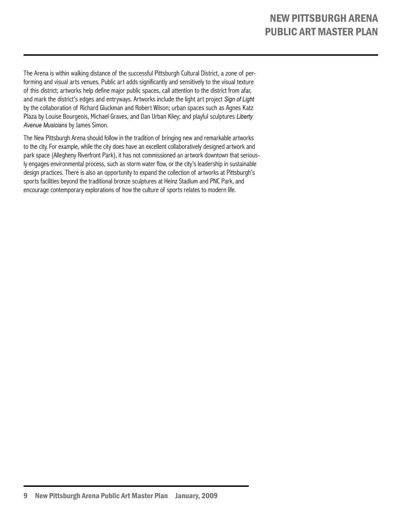The Arena is within walking distance of the successful Pittsburgh Cultural District, a zone of performing and visual arts venues. Public art adds significantly and sensitively to the visual texture of this district; artworks help define major public spaces, call attention to the district from afar, and mark the district's edges and entryways. Artworks include the light art project *Sign of Light*  by the collaboration of Richard Gluckman and Robert Wilson; urban spaces such as Agnes Katz Plaza by Louise Bourgeois, Michael Graves, and Dan Urban Kiley; and playful sculptures *Liberty Avenue Musicians* by James Simon.

The New Pittsburgh Arena should follow in the tradition of bringing new and remarkable artworks to the city. For example, while the city does have an excellent collaboratively designed artwork and park space (Allegheny Riverfront Park), it has not commissioned an artwork downtown that seriously engages environmental process, such as storm water flow, or the city's leadership in sustainable design practices. There is also an opportunity to expand the collection of artworks at Pittsburgh's sports facilities beyond the traditional bronze sculptures at Heinz Stadium and PNC Park, and encourage contemporary explorations of how the culture of sports relates to modern life.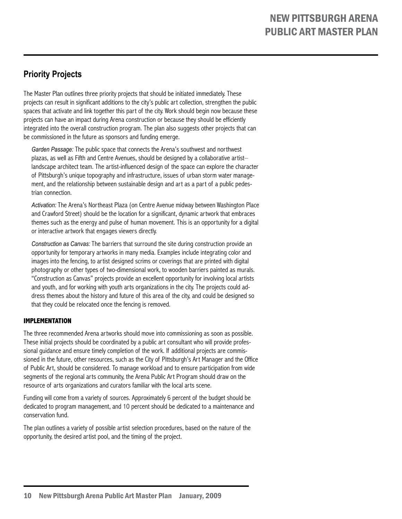# **Priority Projects**

The Master Plan outlines three priority projects that should be initiated immediately. These projects can result in significant additions to the city's public art collection, strengthen the public spaces that activate and link together this part of the city. Work should begin now because these projects can have an impact during Arena construction or because they should be efficiently integrated into the overall construction program. The plan also suggests other projects that can be commissioned in the future as sponsors and funding emerge.

*Garden Passage:* The public space that connects the Arena's southwest and northwest plazas, as well as Fifth and Centre Avenues, should be designed by a collaborative artist– landscape architect team. The artist-influenced design of the space can explore the character of Pittsburgh's unique topography and infrastructure, issues of urban storm water management, and the relationship between sustainable design and art as a part of a public pedestrian connection.

*Activation:* The Arena's Northeast Plaza (on Centre Avenue midway between Washington Place and Crawford Street) should be the location for a significant, dynamic artwork that embraces themes such as the energy and pulse of human movement. This is an opportunity for a digital or interactive artwork that engages viewers directly.

*Construction as Canvas:* The barriers that surround the site during construction provide an opportunity for temporary artworks in many media. Examples include integrating color and images into the fencing, to artist designed scrims or coverings that are printed with digital photography or other types of two-dimensional work, to wooden barriers painted as murals. "Construction as Canvas" projects provide an excellent opportunity for involving local artists and youth, and for working with youth arts organizations in the city. The projects could address themes about the history and future of this area of the city, and could be designed so that they could be relocated once the fencing is removed.

### **Implementation**

The three recommended Arena artworks should move into commissioning as soon as possible. These initial projects should be coordinated by a public art consultant who will provide professional guidance and ensure timely completion of the work. If additional projects are commissioned in the future, other resources, such as the City of Pittsburgh's Art Manager and the Office of Public Art, should be considered. To manage workload and to ensure participation from wide segments of the regional arts community, the Arena Public Art Program should draw on the resource of arts organizations and curators familiar with the local arts scene.

Funding will come from a variety of sources. Approximately 6 percent of the budget should be dedicated to program management, and 10 percent should be dedicated to a maintenance and conservation fund.

The plan outlines a variety of possible artist selection procedures, based on the nature of the opportunity, the desired artist pool, and the timing of the project.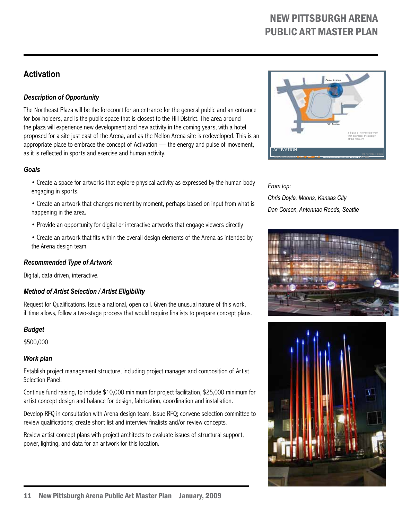# **Activation**

# *Description of Opportunity*

The Northeast Plaza will be the forecourt for an entrance for the general public and an entrance for box-holders, and is the public space that is closest to the Hill District. The area around the plaza will experience new development and new activity in the coming years, with a hotel proposed for a site just east of the Arena, and as the Mellon Arena site is redeveloped. This is an appropriate place to embrace the concept of Activation — the energy and pulse of movement, as it is reflected in sports and exercise and human activity.

#### *Goals*

- Create a space for artworks that explore physical activity as expressed by the human body engaging in sports.
- Create an artwork that changes moment by moment, perhaps based on input from what is happening in the area.
- Provide an opportunity for digital or interactive artworks that engage viewers directly.
- Create an artwork that fits within the overall design elements of the Arena as intended by the Arena design team.

### *Recommended Type of Artwork*

Digital, data driven, interactive.

### *Method of Artist Selection / Artist Eligibility*

Request for Qualifications. Issue a national, open call. Given the unusual nature of this work, if time allows, follow a two-stage process that would require finalists to prepare concept plans.

### *Budget*

\$500,000

### *Work plan*

Establish project management structure, including project manager and composition of Artist Selection Panel.

Continue fund raising, to include \$10,000 minimum for project facilitation, \$25,000 minimum for artist concept design and balance for design, fabrication, coordination and installation.

Develop RFQ in consultation with Arena design team. Issue RFQ; convene selection committee to review qualifications; create short list and interview finalists and/or review concepts.

Review artist concept plans with project architects to evaluate issues of structural support, power, lighting, and data for an artwork for this location.



# *From top: Chris Doyle, Moons, Kansas City Dan Corson, Antennae Reeds, Seattle*



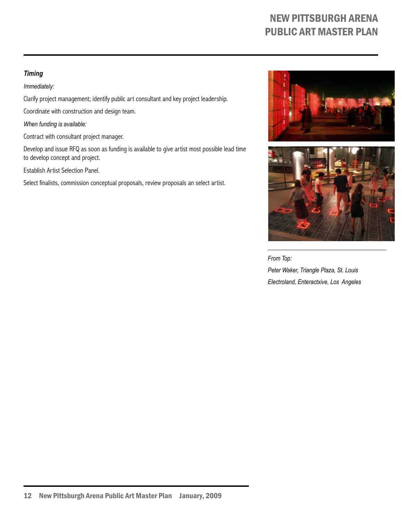### *Timing*

*Immediately:*

Clarify project management; identify public art consultant and key project leadership.

Coordinate with construction and design team.

*When funding is available:*

Contract with consultant project manager.

Develop and issue RFQ as soon as funding is available to give artist most possible lead time to develop concept and project.

Establish Artist Selection Panel.

Select finalists, commission conceptual proposals, review proposals an select artist.





*From Top: Peter Waker, Triangle Plaza, St. Louis Electroland, Enteractxive, Los Angeles*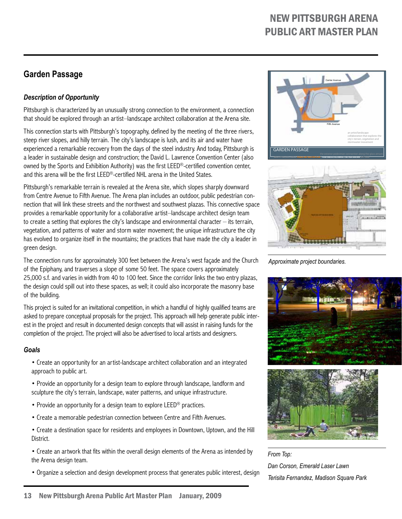# **Garden Passage**

# *Description of Opportunity*

Pittsburgh is characterized by an unusually strong connection to the environment, a connection that should be explored through an artist–landscape architect collaboration at the Arena site.

This connection starts with Pittsburgh's topography, defined by the meeting of the three rivers, steep river slopes, and hilly terrain. The city's landscape is lush, and its air and water have experienced a remarkable recovery from the days of the steel industry. And today, Pittsburgh is a leader in sustainable design and construction; the David L. Lawrence Convention Center (also owned by the Sports and Exhibition Authority) was the first LEED®-certified convention center, and this arena will be the first LEED®-certified NHL arena in the United States.

Pittsburgh's remarkable terrain is revealed at the Arena site, which slopes sharply downward from Centre Avenue to Fifth Avenue. The Arena plan includes an outdoor, public pedestrian connection that will link these streets and the northwest and southwest plazas. This connective space provides a remarkable opportunity for a collaborative artist–landscape architect design team to create a setting that explores the city's landscape and environmental character – its terrain, vegetation, and patterns of water and storm water movement; the unique infrastructure the city has evolved to organize itself in the mountains; the practices that have made the city a leader in green design.

The connection runs for approximately 300 feet between the Arena's west façade and the Church of the Epiphany, and traverses a slope of some 50 feet. The space covers approximately 25,000 s.f. and varies in width from 40 to 100 feet. Since the corridor links the two entry plazas, the design could spill out into these spaces, as well; it could also incorporate the masonry base of the building.

This project is suited for an invitational competition, in which a handful of highly qualified teams are asked to prepare conceptual proposals for the project. This approach will help generate public interest in the project and result in documented design concepts that will assist in raising funds for the completion of the project. The project will also be advertised to local artists and designers.

#### *Goals*

• Create an opportunity for an artist-landscape architect collaboration and an integrated approach to public art.

• Provide an opportunity for a design team to explore through landscape, landform and sculpture the city's terrain, landscape, water patterns, and unique infrastructure.

- Provide an opportunity for a design team to explore LEED<sup>®</sup> practices.
- Create a memorable pedestrian connection between Centre and Fifth Avenues.

• Create a destination space for residents and employees in Downtown, Uptown, and the Hill District.

• Create an artwork that fits within the overall design elements of the Arena as intended by the Arena design team.

• Organize a selection and design development process that generates public interest, design



*Approximate project boundaries.*





*From Top: Dan Corson, Emerald Laser Lawn Terisita Fernandez, Madison Square Park*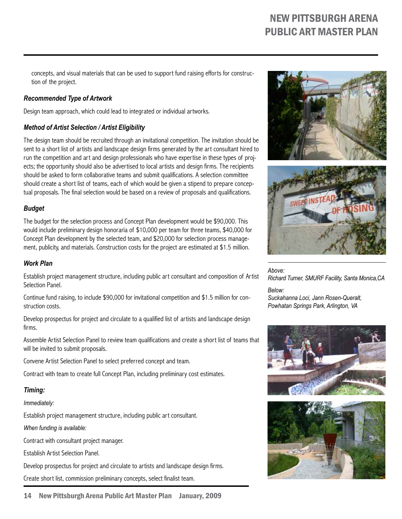concepts, and visual materials that can be used to support fund raising efforts for construction of the project.

### *Recommended Type of Artwork*

Design team approach, which could lead to integrated or individual artworks.

# *Method of Artist Selection / Artist Eligibility*

The design team should be recruited through an invitational competition. The invitation should be sent to a short list of artists and landscape design firms generated by the art consultant hired to run the competition and art and design professionals who have expertise in these types of projects; the opportunity should also be advertised to local artists and design firms. The recipients should be asked to form collaborative teams and submit qualifications. A selection committee should create a short list of teams, each of which would be given a stipend to prepare conceptual proposals. The final selection would be based on a review of proposals and qualifications.

## *Budget*

The budget for the selection process and Concept Plan development would be \$90,000. This would include preliminary design honoraria of \$10,000 per team for three teams, \$40,000 for Concept Plan development by the selected team, and \$20,000 for selection process management, publicity, and materials. Construction costs for the project are estimated at \$1.5 million.

### *Work Plan*

Establish project management structure, including public art consultant and composition of Artist Selection Panel.

Continue fund raising, to include \$90,000 for invitational competition and \$1.5 million for construction costs.

Develop prospectus for project and circulate to a qualified list of artists and landscape design firms.

Assemble Artist Selection Panel to review team qualifications and create a short list of teams that will be invited to submit proposals.

Convene Artist Selection Panel to select preferred concept and team.

Contract with team to create full Concept Plan, including preliminary cost estimates.

### *Timing:*

*Immediately:*

Establish project management structure, including public art consultant.

*When funding is available:*

Contract with consultant project manager.

Establish Artist Selection Panel.

Develop prospectus for project and circulate to artists and landscape design firms.

Create short list, commission preliminary concepts, select finalist team.







*Above: Richard Turner, SMURF Facility, Santa Monica,CA Below:*

*Suckahanna Loci, Jann Rosen-Queralt, Powhatan Springs Park, Arlington, VA*



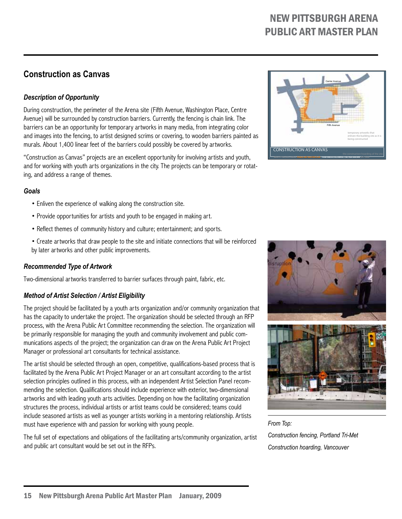# **Construction as Canvas**

# *Description of Opportunity*

During construction, the perimeter of the Arena site (Fifth Avenue, Washington Place, Centre Avenue) will be surrounded by construction barriers. Currently, the fencing is chain link. The barriers can be an opportunity for temporary artworks in many media, from integrating color and images into the fencing, to artist designed scrims or covering, to wooden barriers painted as murals. About 1,400 linear feet of the barriers could possibly be covered by artworks.

"Construction as Canvas" projects are an excellent opportunity for involving artists and youth, and for working with youth arts organizations in the city. The projects can be temporary or rotating, and address a range of themes.

#### *Goals*

- Enliven the experience of walking along the construction site.
- Provide opportunities for artists and youth to be engaged in making art.
- Reflect themes of community history and culture; entertainment; and sports.
- Create artworks that draw people to the site and initiate connections that will be reinforced by later artworks and other public improvements.

# *Recommended Type of Artwork*

Two-dimensional artworks transferred to barrier surfaces through paint, fabric, etc.

# *Method of Artist Selection / Artist Eligibility*

The project should be facilitated by a youth arts organization and/or community organization that has the capacity to undertake the project. The organization should be selected through an RFP process, with the Arena Public Art Committee recommending the selection. The organization will be primarily responsible for managing the youth and community involvement and public communications aspects of the project; the organization can draw on the Arena Public Art Project Manager or professional art consultants for technical assistance.

The artist should be selected through an open, competitive, qualifications-based process that is facilitated by the Arena Public Art Project Manager or an art consultant according to the artist selection principles outlined in this process, with an independent Artist Selection Panel recommending the selection. Qualifications should include experience with exterior, two-dimensional artworks and with leading youth arts activities. Depending on how the facilitating organization structures the process, individual artists or artist teams could be considered; teams could include seasoned artists as well as younger artists working in a mentoring relationship. Artists must have experience with and passion for working with young people.

The full set of expectations and obligations of the facilitating arts/community organization, artist and public art consultant would be set out in the RFPs.





*From Top:*

*Construction fencing, Portland Tri-Met Construction hoarding, Vancouver*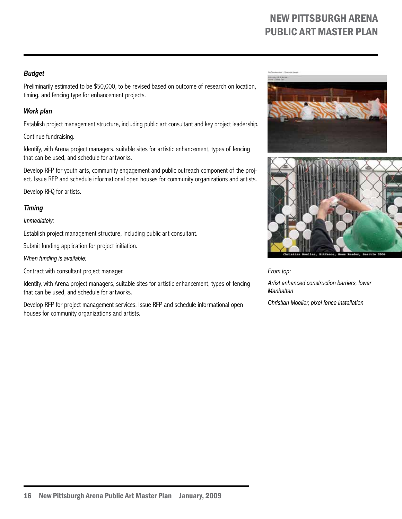### *Budget*

Preliminarily estimated to be \$50,000, to be revised based on outcome of research on location, timing, and fencing type for enhancement projects.

### *Work plan*

Establish project management structure, including public art consultant and key project leadership.

Continue fundraising.

Identify, with Arena project managers, suitable sites for artistic enhancement, types of fencing that can be used, and schedule for artworks.

Develop RFP for youth arts, community engagement and public outreach component of the project. Issue RFP and schedule informational open houses for community organizations and artists.

Develop RFQ for artists.

## *Timing*

*Immediately:*

Establish project management structure, including public art consultant.

Submit funding application for project initiation.

*When funding is available:*

Contract with consultant project manager.

Identify, with Arena project managers, suitable sites for artistic enhancement, types of fencing that can be used, and schedule for artworks.

Develop RFP for project management services. Issue RFP and schedule informational open houses for community organizations and artists.







*From top:*

*Artist enhanced construction barriers, lower Manhattan*

*Christian Moeller, pixel fence installation*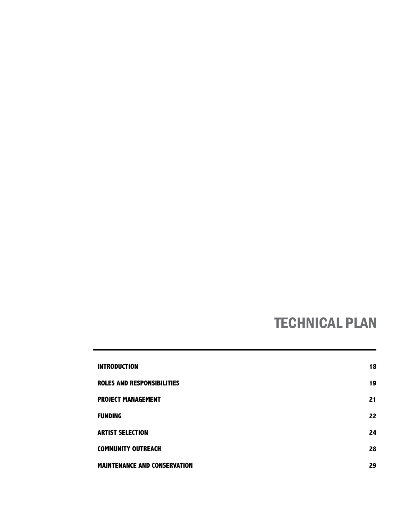# TECHNICAL PLAN

| <b>INTRODUCTION</b>                 | 18 |
|-------------------------------------|----|
| <b>ROLES AND RESPONSIBILITIES</b>   | 19 |
| <b>PROJECT MANAGEMENT</b>           | 21 |
| <b>FUNDING</b>                      | 22 |
| <b>ARTIST SELECTION</b>             | 24 |
| <b>COMMUNITY OUTREACH</b>           | 28 |
| <b>MAINTENANCE AND CONSERVATION</b> | 29 |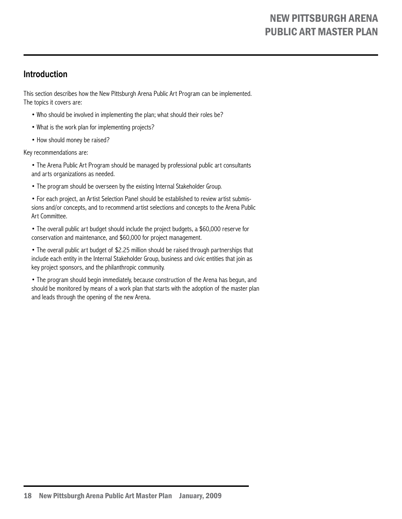# **Introduction**

This section describes how the New Pittsburgh Arena Public Art Program can be implemented. The topics it covers are:

- Who should be involved in implementing the plan; what should their roles be?
- What is the work plan for implementing projects?
- How should money be raised?

Key recommendations are:

• The Arena Public Art Program should be managed by professional public art consultants and arts organizations as needed.

• The program should be overseen by the existing Internal Stakeholder Group.

• For each project, an Artist Selection Panel should be established to review artist submissions and/or concepts, and to recommend artist selections and concepts to the Arena Public Art Committee.

• The overall public art budget should include the project budgets, a \$60,000 reserve for conservation and maintenance, and \$60,000 for project management.

• The overall public art budget of \$2.25 million should be raised through partnerships that include each entity in the Internal Stakeholder Group, business and civic entities that join as key project sponsors, and the philanthropic community.

• The program should begin immediately, because construction of the Arena has begun, and should be monitored by means of a work plan that starts with the adoption of the master plan and leads through the opening of the new Arena.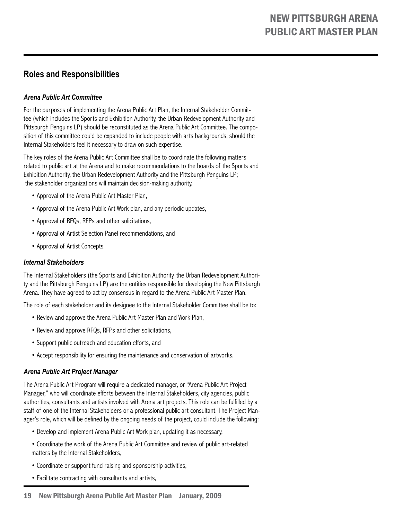# **Roles and Responsibilities**

## *Arena Public Art Committee*

For the purposes of implementing the Arena Public Art Plan, the Internal Stakeholder Committee (which includes the Sports and Exhibition Authority, the Urban Redevelopment Authority and Pittsburgh Penguins LP) should be reconstituted as the Arena Public Art Committee. The composition of this committee could be expanded to include people with arts backgrounds, should the Internal Stakeholders feel it necessary to draw on such expertise.

The key roles of the Arena Public Art Committee shall be to coordinate the following matters related to public art at the Arena and to make recommendations to the boards of the Sports and Exhibition Authority, the Urban Redevelopment Authority and the Pittsburgh Penguins LP; the stakeholder organizations will maintain decision-making authority.

- Approval of the Arena Public Art Master Plan,
- Approval of the Arena Public Art Work plan, and any periodic updates,
- Approval of RFQs, RFPs and other solicitations,
- Approval of Artist Selection Panel recommendations, and
- Approval of Artist Concepts.

#### *Internal Stakeholders*

The Internal Stakeholders (the Sports and Exhibition Authority, the Urban Redevelopment Authority and the Pittsburgh Penguins LP) are the entities responsible for developing the New Pittsburgh Arena. They have agreed to act by consensus in regard to the Arena Public Art Master Plan.

The role of each stakeholder and its designee to the Internal Stakeholder Committee shall be to:

- Review and approve the Arena Public Art Master Plan and Work Plan,
- Review and approve RFQs, RFPs and other solicitations,
- Support public outreach and education efforts, and
- Accept responsibility for ensuring the maintenance and conservation of artworks.

### *Arena Public Art Project Manager*

The Arena Public Art Program will require a dedicated manager, or "Arena Public Art Project Manager," who will coordinate efforts between the Internal Stakeholders, city agencies, public authorities, consultants and artists involved with Arena art projects. This role can be fulfilled by a staff of one of the Internal Stakeholders or a professional public art consultant. The Project Manager's role, which will be defined by the ongoing needs of the project, could include the following:

- Develop and implement Arena Public Art Work plan, updating it as necessary,
- Coordinate the work of the Arena Public Art Committee and review of public art-related matters by the Internal Stakeholders,
- Coordinate or support fund raising and sponsorship activities,
- Facilitate contracting with consultants and artists,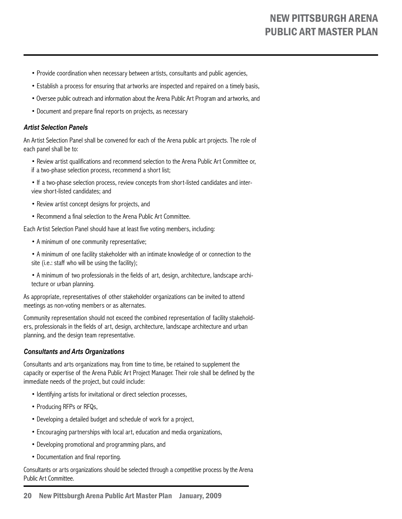- Provide coordination when necessary between artists, consultants and public agencies,
- Establish a process for ensuring that artworks are inspected and repaired on a timely basis,
- Oversee public outreach and information about the Arena Public Art Program and artworks, and
- Document and prepare final reports on projects, as necessary

#### *Artist Selection Panels*

An Artist Selection Panel shall be convened for each of the Arena public art projects. The role of each panel shall be to:

- Review artist qualifications and recommend selection to the Arena Public Art Committee or, if a two-phase selection process, recommend a short list;
- If a two-phase selection process, review concepts from short-listed candidates and interview short-listed candidates; and
- Review artist concept designs for projects, and
- Recommend a final selection to the Arena Public Art Committee.

Each Artist Selection Panel should have at least five voting members, including:

- A minimum of one community representative;
- A minimum of one facility stakeholder with an intimate knowledge of or connection to the site (i.e.: staff who will be using the facility);
- A minimum of two professionals in the fields of art, design, architecture, landscape architecture or urban planning.

As appropriate, representatives of other stakeholder organizations can be invited to attend meetings as non-voting members or as alternates.

Community representation should not exceed the combined representation of facility stakeholders, professionals in the fields of art, design, architecture, landscape architecture and urban planning, and the design team representative.

#### *Consultants and Arts Organizations*

Consultants and arts organizations may, from time to time, be retained to supplement the capacity or expertise of the Arena Public Art Project Manager. Their role shall be defined by the immediate needs of the project, but could include:

- Identifying artists for invitational or direct selection processes,
- Producing RFPs or RFQs,
- Developing a detailed budget and schedule of work for a project,
- Encouraging partnerships with local art, education and media organizations,
- Developing promotional and programming plans, and
- Documentation and final reporting.

Consultants or arts organizations should be selected through a competitive process by the Arena Public Art Committee.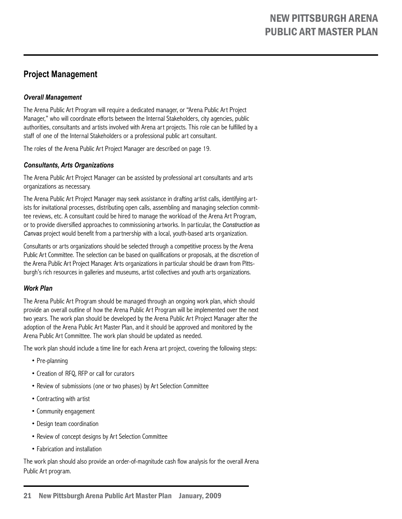# **Project Management**

### *Overall Management*

The Arena Public Art Program will require a dedicated manager, or "Arena Public Art Project Manager," who will coordinate efforts between the Internal Stakeholders, city agencies, public authorities, consultants and artists involved with Arena art projects. This role can be fulfilled by a staff of one of the Internal Stakeholders or a professional public art consultant.

The roles of the Arena Public Art Project Manager are described on page 19.

### *Consultants, Arts Organizations*

The Arena Public Art Project Manager can be assisted by professional art consultants and arts organizations as necessary.

The Arena Public Art Project Manager may seek assistance in drafting artist calls, identifying artists for invitational processes, distributing open calls, assembling and managing selection committee reviews, etc. A consultant could be hired to manage the workload of the Arena Art Program, or to provide diversified approaches to commissioning artworks. In particular, the *Construction as Canvas* project would benefit from a partnership with a local, youth-based arts organization.

Consultants or arts organizations should be selected through a competitive process by the Arena Public Art Committee. The selection can be based on qualifications or proposals, at the discretion of the Arena Public Art Project Manager. Arts organizations in particular should be drawn from Pittsburgh's rich resources in galleries and museums, artist collectives and youth arts organizations.

### *Work Plan*

The Arena Public Art Program should be managed through an ongoing work plan, which should provide an overall outline of how the Arena Public Art Program will be implemented over the next two years. The work plan should be developed by the Arena Public Art Project Manager after the adoption of the Arena Public Art Master Plan, and it should be approved and monitored by the Arena Public Art Committee. The work plan should be updated as needed.

The work plan should include a time line for each Arena art project, covering the following steps:

- Pre-planning
- Creation of RFQ, RFP or call for curators
- Review of submissions (one or two phases) by Art Selection Committee
- Contracting with artist
- Community engagement
- Design team coordination
- Review of concept designs by Art Selection Committee
- Fabrication and installation

The work plan should also provide an order-of-magnitude cash flow analysis for the overall Arena Public Art program.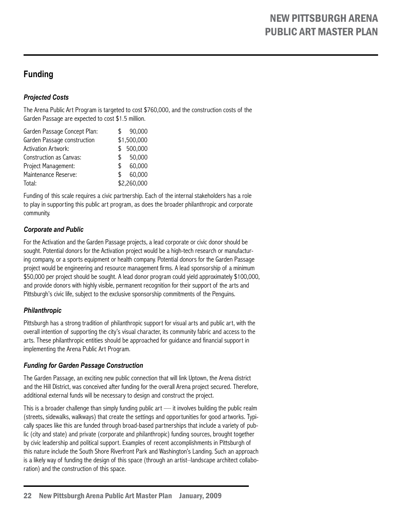# **Funding**

# *Projected Costs*

The Arena Public Art Program is targeted to cost \$760,000, and the construction costs of the Garden Passage are expected to cost \$1.5 million.

|     | 90,000      |
|-----|-------------|
|     | \$1,500,000 |
| \$  | 500,000     |
| S   | 50,000      |
| \$. | 60,000      |
| \$. | 60,000      |
|     | \$2,260,000 |
|     | S           |

Funding of this scale requires a civic partnership. Each of the internal stakeholders has a role to play in supporting this public art program, as does the broader philanthropic and corporate community.

# *Corporate and Public*

For the Activation and the Garden Passage projects, a lead corporate or civic donor should be sought. Potential donors for the Activation project would be a high-tech research or manufacturing company, or a sports equipment or health company. Potential donors for the Garden Passage project would be engineering and resource management firms. A lead sponsorship of a minimum \$50,000 per project should be sought. A lead donor program could yield approximately \$100,000, and provide donors with highly visible, permanent recognition for their support of the arts and Pittsburgh's civic life, subject to the exclusive sponsorship commitments of the Penguins.

# *Philanthropic*

Pittsburgh has a strong tradition of philanthropic support for visual arts and public art, with the overall intention of supporting the city's visual character, its community fabric and access to the arts. These philanthropic entities should be approached for guidance and financial support in implementing the Arena Public Art Program.

# *Funding for Garden Passage Construction*

The Garden Passage, an exciting new public connection that will link Uptown, the Arena district and the Hill District, was conceived after funding for the overall Arena project secured. Therefore, additional external funds will be necessary to design and construct the project.

This is a broader challenge than simply funding public  $art - i$ t involves building the public realm (streets, sidewalks, walkways) that create the settings and opportunities for good artworks. Typically spaces like this are funded through broad-based partnerships that include a variety of public (city and state) and private (corporate and philanthropic) funding sources, brought together by civic leadership and political support. Examples of recent accomplishments in Pittsburgh of this nature include the South Shore Riverfront Park and Washington's Landing. Such an approach is a likely way of funding the design of this space (through an artist–landscape architect collaboration) and the construction of this space.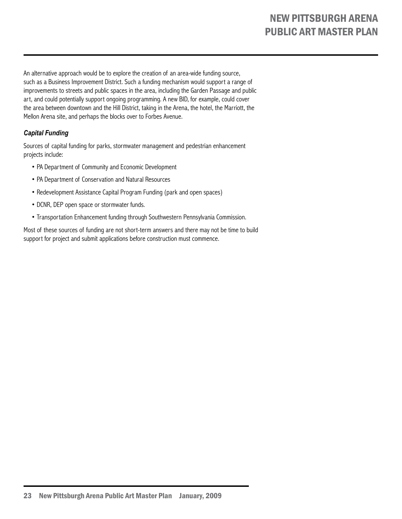An alternative approach would be to explore the creation of an area-wide funding source, such as a Business Improvement District. Such a funding mechanism would support a range of improvements to streets and public spaces in the area, including the Garden Passage and public art, and could potentially support ongoing programming. A new BID, for example, could cover the area between downtown and the Hill District, taking in the Arena, the hotel, the Marriott, the Mellon Arena site, and perhaps the blocks over to Forbes Avenue.

# *Capital Funding*

Sources of capital funding for parks, stormwater management and pedestrian enhancement projects include:

- PA Department of Community and Economic Development
- PA Department of Conservation and Natural Resources
- Redevelopment Assistance Capital Program Funding (park and open spaces)
- DCNR, DEP open space or stormwater funds.
- Transportation Enhancement funding through Southwestern Pennsylvania Commission.

Most of these sources of funding are not short-term answers and there may not be time to build support for project and submit applications before construction must commence.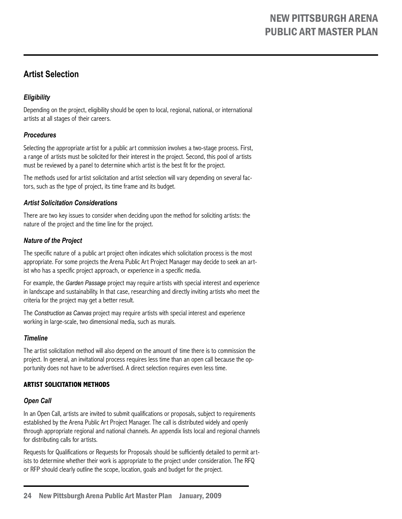# **Artist Selection**

# *Eligibility*

Depending on the project, eligibility should be open to local, regional, national, or international artists at all stages of their careers.

## *Procedures*

Selecting the appropriate artist for a public art commission involves a two-stage process. First, a range of artists must be solicited for their interest in the project. Second, this pool of artists must be reviewed by a panel to determine which artist is the best fit for the project.

The methods used for artist solicitation and artist selection will vary depending on several factors, such as the type of project, its time frame and its budget.

#### *Artist Solicitation Considerations*

There are two key issues to consider when deciding upon the method for soliciting artists: the nature of the project and the time line for the project.

### *Nature of the Project*

The specific nature of a public art project often indicates which solicitation process is the most appropriate. For some projects the Arena Public Art Project Manager may decide to seek an artist who has a specific project approach, or experience in a specific media.

For example, the *Garden Passage* project may require artists with special interest and experience in landscape and sustainability. In that case, researching and directly inviting artists who meet the criteria for the project may get a better result.

The *Construction as Canvas* project may require artists with special interest and experience working in large-scale, two dimensional media, such as murals.

### *Timeline*

The artist solicitation method will also depend on the amount of time there is to commission the project. In general, an invitational process requires less time than an open call because the opportunity does not have to be advertised. A direct selection requires even less time.

### **Artist Solicitation Methods**

### *Open Call*

In an Open Call, artists are invited to submit qualifications or proposals, subject to requirements established by the Arena Public Art Project Manager. The call is distributed widely and openly through appropriate regional and national channels. An appendix lists local and regional channels for distributing calls for artists.

Requests for Qualifications or Requests for Proposals should be sufficiently detailed to permit artists to determine whether their work is appropriate to the project under consideration. The RFQ or RFP should clearly outline the scope, location, goals and budget for the project.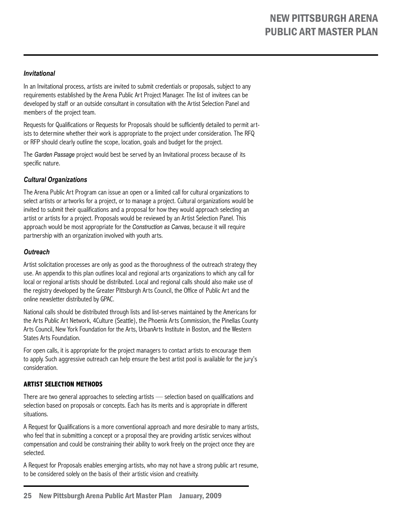#### *Invitational*

In an Invitational process, artists are invited to submit credentials or proposals, subject to any requirements established by the Arena Public Art Project Manager. The list of invitees can be developed by staff or an outside consultant in consultation with the Artist Selection Panel and members of the project team.

Requests for Qualifications or Requests for Proposals should be sufficiently detailed to permit artists to determine whether their work is appropriate to the project under consideration. The RFQ or RFP should clearly outline the scope, location, goals and budget for the project.

The *Garden Passage* project would best be served by an Invitational process because of its specific nature.

### *Cultural Organizations*

The Arena Public Art Program can issue an open or a limited call for cultural organizations to select artists or artworks for a project, or to manage a project. Cultural organizations would be invited to submit their qualifications and a proposal for how they would approach selecting an artist or artists for a project. Proposals would be reviewed by an Artist Selection Panel. This approach would be most appropriate for the *Construction as Canvas*, because it will require partnership with an organization involved with youth arts.

#### *Outreach*

Artist solicitation processes are only as good as the thoroughness of the outreach strategy they use. An appendix to this plan outlines local and regional arts organizations to which any call for local or regional artists should be distributed. Local and regional calls should also make use of the registry developed by the Greater Pittsburgh Arts Council, the Office of Public Art and the online newsletter distributed by GPAC.

National calls should be distributed through lists and list-serves maintained by the Americans for the Arts Public Art Network, 4Culture (Seattle), the Phoenix Arts Commission, the Pinellas County Arts Council, New York Foundation for the Arts, UrbanArts Institute in Boston, and the Western States Arts Foundation.

For open calls, it is appropriate for the project managers to contact artists to encourage them to apply. Such aggressive outreach can help ensure the best artist pool is available for the jury's consideration.

#### **Artist Selection Methods**

There are two general approaches to selecting artists — selection based on qualifications and selection based on proposals or concepts. Each has its merits and is appropriate in different situations.

A Request for Qualifications is a more conventional approach and more desirable to many artists, who feel that in submitting a concept or a proposal they are providing artistic services without compensation and could be constraining their ability to work freely on the project once they are selected.

A Request for Proposals enables emerging artists, who may not have a strong public art resume, to be considered solely on the basis of their artistic vision and creativity.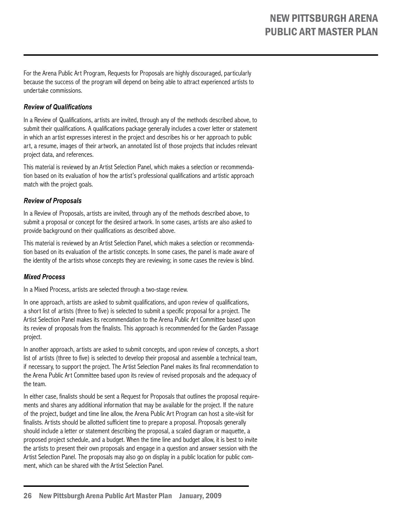For the Arena Public Art Program, Requests for Proposals are highly discouraged, particularly because the success of the program will depend on being able to attract experienced artists to undertake commissions.

#### *Review of Qualifications*

In a Review of Qualifications, artists are invited, through any of the methods described above, to submit their qualifications. A qualifications package generally includes a cover letter or statement in which an artist expresses interest in the project and describes his or her approach to public art, a resume, images of their artwork, an annotated list of those projects that includes relevant project data, and references.

This material is reviewed by an Artist Selection Panel, which makes a selection or recommendation based on its evaluation of how the artist's professional qualifications and artistic approach match with the project goals.

#### *Review of Proposals*

In a Review of Proposals, artists are invited, through any of the methods described above, to submit a proposal or concept for the desired artwork. In some cases, artists are also asked to provide background on their qualifications as described above.

This material is reviewed by an Artist Selection Panel, which makes a selection or recommendation based on its evaluation of the artistic concepts. In some cases, the panel is made aware of the identity of the artists whose concepts they are reviewing; in some cases the review is blind.

#### *Mixed Process*

In a Mixed Process, artists are selected through a two-stage review.

In one approach, artists are asked to submit qualifications, and upon review of qualifications, a short list of artists (three to five) is selected to submit a specific proposal for a project. The Artist Selection Panel makes its recommendation to the Arena Public Art Committee based upon its review of proposals from the finalists. This approach is recommended for the Garden Passage project.

In another approach, artists are asked to submit concepts, and upon review of concepts, a short list of artists (three to five) is selected to develop their proposal and assemble a technical team, if necessary, to support the project. The Artist Selection Panel makes its final recommendation to the Arena Public Art Committee based upon its review of revised proposals and the adequacy of the team.

In either case, finalists should be sent a Request for Proposals that outlines the proposal requirements and shares any additional information that may be available for the project. If the nature of the project, budget and time line allow, the Arena Public Art Program can host a site-visit for finalists. Artists should be allotted sufficient time to prepare a proposal. Proposals generally should include a letter or statement describing the proposal, a scaled diagram or maquette, a proposed project schedule, and a budget. When the time line and budget allow, it is best to invite the artists to present their own proposals and engage in a question and answer session with the Artist Selection Panel. The proposals may also go on display in a public location for public comment, which can be shared with the Artist Selection Panel.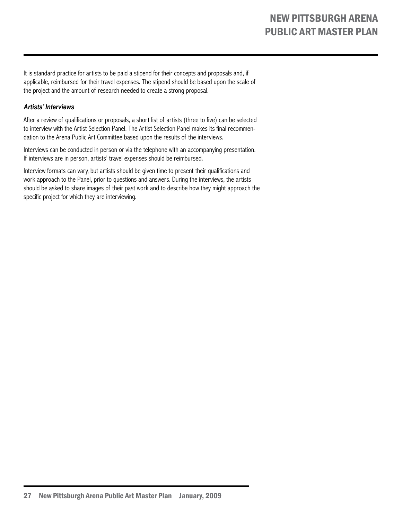It is standard practice for artists to be paid a stipend for their concepts and proposals and, if applicable, reimbursed for their travel expenses. The stipend should be based upon the scale of the project and the amount of research needed to create a strong proposal.

#### *Artists' Interviews*

After a review of qualifications or proposals, a short list of artists (three to five) can be selected to interview with the Artist Selection Panel. The Artist Selection Panel makes its final recommendation to the Arena Public Art Committee based upon the results of the interviews.

Interviews can be conducted in person or via the telephone with an accompanying presentation. If interviews are in person, artists' travel expenses should be reimbursed.

Interview formats can vary, but artists should be given time to present their qualifications and work approach to the Panel, prior to questions and answers. During the interviews, the artists should be asked to share images of their past work and to describe how they might approach the specific project for which they are interviewing.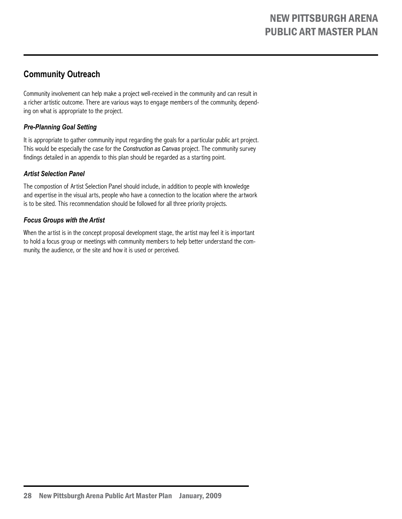# **Community Outreach**

Community involvement can help make a project well-received in the community and can result in a richer artistic outcome. There are various ways to engage members of the community, depending on what is appropriate to the project.

## *Pre-Planning Goal Setting*

It is appropriate to gather community input regarding the goals for a particular public art project. This would be especially the case for the *Construction as Canvas* project. The community survey findings detailed in an appendix to this plan should be regarded as a starting point.

### *Artist Selection Panel*

The compostion of Artist Selection Panel should include, in addition to people with knowledge and expertise in the visual arts, people who have a connection to the location where the artwork is to be sited. This recommendation should be followed for all three priority projects.

### *Focus Groups with the Artist*

When the artist is in the concept proposal development stage, the artist may feel it is important to hold a focus group or meetings with community members to help better understand the community, the audience, or the site and how it is used or perceived.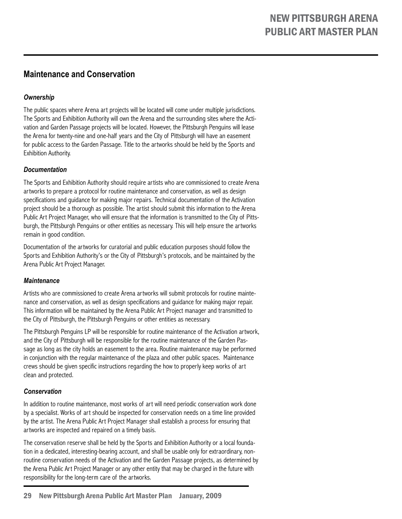# **Maintenance and Conservation**

# *Ownership*

The public spaces where Arena art projects will be located will come under multiple jurisdictions. The Sports and Exhibition Authority will own the Arena and the surrounding sites where the Activation and Garden Passage projects will be located. However, the Pittsburgh Penguins will lease the Arena for twenty-nine and one-half years and the City of Pittsburgh will have an easement for public access to the Garden Passage. Title to the artworks should be held by the Sports and Exhibition Authority.

### *Documentation*

The Sports and Exhibition Authority should require artists who are commissioned to create Arena artworks to prepare a protocol for routine maintenance and conservation, as well as design specifications and guidance for making major repairs. Technical documentation of the Activation project should be a thorough as possible. The artist should submit this information to the Arena Public Art Project Manager, who will ensure that the information is transmitted to the City of Pittsburgh, the Pittsburgh Penguins or other entities as necessary. This will help ensure the artworks remain in good condition.

Documentation of the artworks for curatorial and public education purposes should follow the Sports and Exhibition Authority's or the City of Pittsburgh's protocols, and be maintained by the Arena Public Art Project Manager.

### *Maintenance*

Artists who are commissioned to create Arena artworks will submit protocols for routine maintenance and conservation, as well as design specifications and guidance for making major repair. This information will be maintained by the Arena Public Art Project manager and transmitted to the City of Pittsburgh, the Pittsburgh Penguins or other entities as necessary.

The Pittsburgh Penguins LP will be responsible for routine maintenance of the Activation artwork, and the City of Pittsburgh will be responsible for the routine maintenance of the Garden Passage as long as the city holds an easement to the area. Routine maintenance may be performed in conjunction with the regular maintenance of the plaza and other public spaces. Maintenance crews should be given specific instructions regarding the how to properly keep works of art clean and protected.

### *Conservation*

In addition to routine maintenance, most works of art will need periodic conservation work done by a specialist. Works of art should be inspected for conservation needs on a time line provided by the artist. The Arena Public Art Project Manager shall establish a process for ensuring that artworks are inspected and repaired on a timely basis.

The conservation reserve shall be held by the Sports and Exhibition Authority or a local foundation in a dedicated, interesting-bearing account, and shall be usable only for extraordinary, nonroutine conservation needs of the Activation and the Garden Passage projects, as determined by the Arena Public Art Project Manager or any other entity that may be charged in the future with responsibility for the long-term care of the artworks.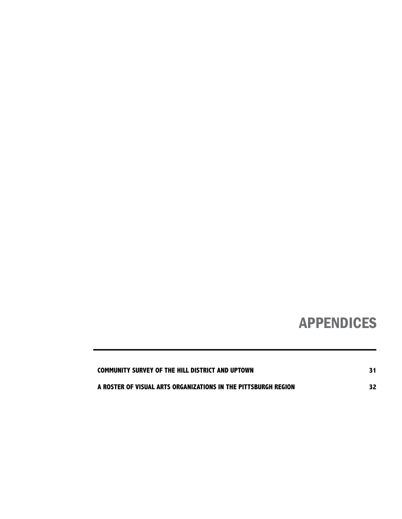# APPENDICES

| <b>COMMUNITY SURVEY OF THE HILL DISTRICT AND UPTOWN</b>        |  |
|----------------------------------------------------------------|--|
| A ROSTER OF VISUAL ARTS ORGANIZATIONS IN THE PITTSBURGH REGION |  |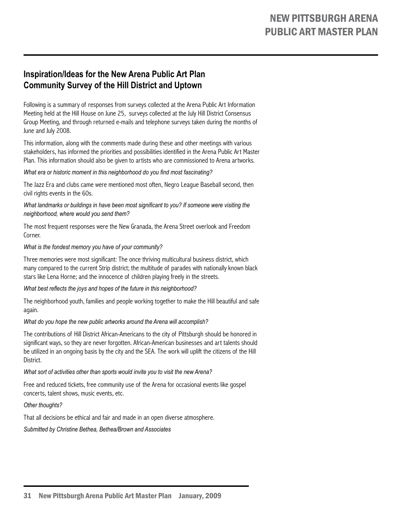# **Inspiration/Ideas for the New Arena Public Art Plan Community Survey of the Hill District and Uptown**

Following is a summary of responses from surveys collected at the Arena Public Art Information Meeting held at the Hill House on June 25, surveys collected at the July Hill District Consensus Group Meeting, and through returned e-mails and telephone surveys taken during the months of June and July 2008.

This information, along with the comments made during these and other meetings with various stakeholders, has informed the priorities and possibilities identified in the Arena Public Art Master Plan. This information should also be given to artists who are commissioned to Arena artworks.

*What era or historic moment in this neighborhood do you find most fascinating?*

The Jazz Era and clubs came were mentioned most often, Negro League Baseball second, then civil rights events in the 60s.

*What landmarks or buildings in have been most significant to you? If someone were visiting the neighborhood, where would you send them?*

The most frequent responses were the New Granada, the Arena Street overlook and Freedom Corner.

#### *What is the fondest memory you have of your community?*

Three memories were most significant: The once thriving multicultural business district, which many compared to the current Strip district; the multitude of parades with nationally known black stars like Lena Horne; and the innocence of children playing freely in the streets.

*What best reflects the joys and hopes of the future in this neighborhood?*

The neighborhood youth, families and people working together to make the Hill beautiful and safe again.

*What do you hope the new public artworks around the Arena will accomplish?*

The contributions of Hill District African-Americans to the city of Pittsburgh should be honored in significant ways, so they are never forgotten. African-American businesses and art talents should be utilized in an ongoing basis by the city and the SEA. The work will uplift the citizens of the Hill District.

*What sort of activities other than sports would invite you to visit the new Arena?*

Free and reduced tickets, free community use of the Arena for occasional events like gospel concerts, talent shows, music events, etc.

*Other thoughts?*

That all decisions be ethical and fair and made in an open diverse atmosphere.

*Submitted by Christine Bethea, Bethea/Brown and Associates*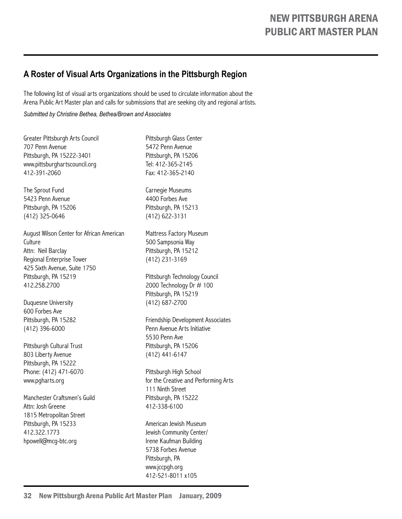# **A Roster of Visual Arts Organizations in the Pittsburgh Region**

The following list of visual arts organizations should be used to circulate information about the Arena Public Art Master plan and calls for submissions that are seeking city and regional artists.

*Submitted by Christine Bethea, Bethea/Brown and Associates*

Greater Pittsburgh Arts Council 707 Penn Avenue Pittsburgh, PA 15222-3401 www.pittsburghartscouncil.org 412-391-2060

The Sprout Fund 5423 Penn Avenue Pittsburgh, PA 15206 (412) 325-0646

August Wilson Center for African American **Culture** Attn: Neil Barclay Regional Enterprise Tower 425 Sixth Avenue, Suite 1750 Pittsburgh, PA 15219 412.258.2700

Duquesne University 600 Forbes Ave Pittsburgh, PA 15282 (412) 396-6000

Pittsburgh Cultural Trust 803 Liberty Avenue Pittsburgh, PA 15222 Phone: (412) 471-6070 www.pgharts.org

Manchester Craftsmen's Guild Attn: Josh Greene 1815 Metropolitan Street Pittsburgh, PA 15233 412.322.1773 hpowell@mcg-btc.org

Pittsburgh Glass Center 5472 Penn Avenue Pittsburgh, PA 15206 Tel: 412-365-2145 Fax: 412-365-2140

Carnegie Museums 4400 Forbes Ave Pittsburgh, PA 15213 (412) 622-3131

Mattress Factory Museum 500 Sampsonia Way Pittsburgh, PA 15212 (412) 231-3169

Pittsburgh Technology Council 2000 Technology Dr # 100 Pittsburgh, PA 15219 (412) 687-2700

Friendship Development Associates Penn Avenue Arts Initiative 5530 Penn Ave Pittsburgh, PA 15206 (412) 441-6147

Pittsburgh High School for the Creative and Performing Arts 111 Ninth Street Pittsburgh, PA 15222 412-338-6100

American Jewish Museum Jewish Community Center/ Irene Kaufman Building 5738 Forbes Avenue Pittsburgh, PA www.jccpgh.org 412-521-8011 x105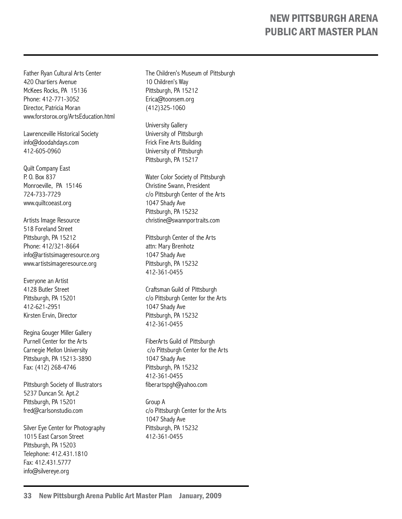Father Ryan Cultural Arts Center 420 Chartiers Avenue McKees Rocks, PA 15136 Phone: 412-771-3052 Director, Patricia Moran www.forstorox.org/ArtsEducation.html

Lawrenceville Historical Society info@doodahdays.com 412-605-0960

Quilt Company East P. O. Box 837 Monroeville, PA 15146 724-733-7729 www.quiltcoeast.org

Artists Image Resource 518 Foreland Street Pittsburgh, PA 15212 Phone: 412/321-8664 info@artistsimageresource.org www.artistsimageresource.org

Everyone an Artist 4128 Butler Street Pittsburgh, PA 15201 412-621-2951 Kirsten Ervin, Director

Regina Gouger Miller Gallery Purnell Center for the Arts Carnegie Mellon University Pittsburgh, PA 15213-3890 Fax: (412) 268-4746

Pittsburgh Society of Illustrators 5237 Duncan St. Apt.2 Pittsburgh, PA 15201 fred@carlsonstudio.com

Silver Eye Center for Photography 1015 East Carson Street Pittsburgh, PA 15203 Telephone: 412.431.1810 Fax: 412.431.5777 info@silvereye.org

The Children's Museum of Pittsburgh 10 Children's Way Pittsburgh, PA 15212 Erica@toonsem.org (412)325-1060

University Gallery University of Pittsburgh Frick Fine Arts Building University of Pittsburgh Pittsburgh, PA 15217

Water Color Society of Pittsburgh Christine Swann, President c/o Pittsburgh Center of the Arts 1047 Shady Ave Pittsburgh, PA 15232 christine@swannportraits.com

Pittsburgh Center of the Arts attn: Mary Brenhotz 1047 Shady Ave Pittsburgh, PA 15232 412-361-0455

Craftsman Guild of Pittsburgh c/o Pittsburgh Center for the Arts 1047 Shady Ave Pittsburgh, PA 15232 412-361-0455

FiberArts Guild of Pittsburgh c/o Pittsburgh Center for the Arts 1047 Shady Ave Pittsburgh, PA 15232 412-361-0455 fiberartspgh@yahoo.com

Group A c/o Pittsburgh Center for the Arts 1047 Shady Ave Pittsburgh, PA 15232 412-361-0455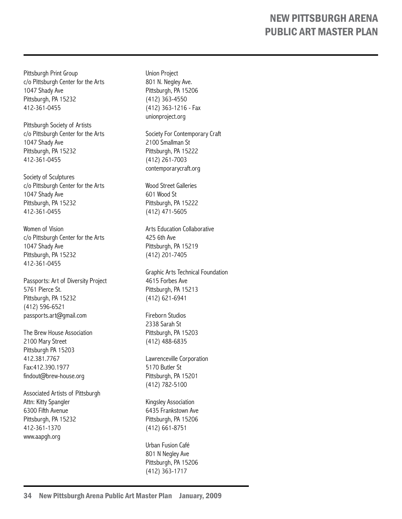Pittsburgh Print Group c/o Pittsburgh Center for the Arts 1047 Shady Ave Pittsburgh, PA 15232 412-361-0455

Pittsburgh Society of Artists c/o Pittsburgh Center for the Arts 1047 Shady Ave Pittsburgh, PA 15232 412-361-0455

Society of Sculptures c/o Pittsburgh Center for the Arts 1047 Shady Ave Pittsburgh, PA 15232 412-361-0455

Women of Vision c/o Pittsburgh Center for the Arts 1047 Shady Ave Pittsburgh, PA 15232 412-361-0455

Passports: Art of Diversity Project 5761 Pierce St. Pittsburgh, PA 15232 (412) 596-6521 passports.art@gmail.com

The Brew House Association 2100 Mary Street Pittsburgh PA 15203 412.381.7767 Fax:412.390.1977 findout@brew-house.org

Associated Artists of Pittsburgh Attn: Kitty Spangler 6300 Fifth Avenue Pittsburgh, PA 15232 412-361-1370 www.aapgh.org

Union Project 801 N. Negley Ave. Pittsburgh, PA 15206 (412) 363-4550 (412) 363-1216 - Fax unionproject.org

Society For Contemporary Craft 2100 Smallman St Pittsburgh, PA 15222 (412) 261-7003 contemporarycraft.org

Wood Street Galleries 601 Wood St Pittsburgh, PA 15222 (412) 471-5605

Arts Education Collaborative 425 6th Ave Pittsburgh, PA 15219 (412) 201-7405

Graphic Arts Technical Foundation 4615 Forbes Ave Pittsburgh, PA 15213 (412) 621-6941

Fireborn Studios 2338 Sarah St Pittsburgh, PA 15203 (412) 488-6835

Lawrenceville Corporation 5170 Butler St Pittsburgh, PA 15201 (412) 782-5100

Kingsley Association 6435 Frankstown Ave Pittsburgh, PA 15206 (412) 661-8751

Urban Fusion Café 801 N Negley Ave Pittsburgh, PA 15206 (412) 363-1717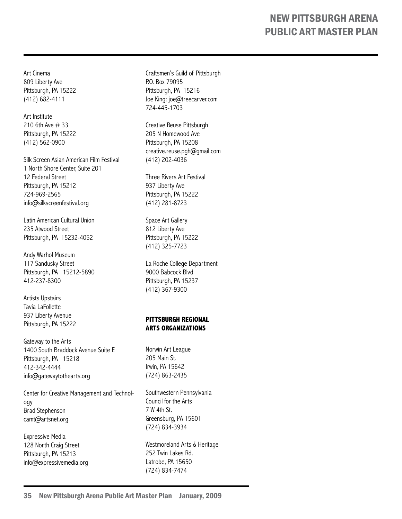Art Cinema 809 Liberty Ave Pittsburgh, PA 15222 (412) 682-4111

Art Institute 210 6th Ave # 33 Pittsburgh, PA 15222 (412) 562-0900

Silk Screen Asian American Film Festival 1 North Shore Center, Suite 201 12 Federal Street Pittsburgh, PA 15212 724-969-2565 info@silkscreenfestival.org

Latin American Cultural Union 235 Atwood Street Pittsburgh, PA 15232-4052

Andy Warhol Museum 117 Sandusky Street Pittsburgh, PA 15212-5890 412-237-8300

Artists Upstairs Tavia LaFollette 937 Liberty Avenue Pittsburgh, PA 15222

Gateway to the Arts 1400 South Braddock Avenue Suite E Pittsburgh, PA 15218 412-342-4444 info@gatewaytothearts.org

Center for Creative Management and Technology Brad Stephenson camt@artsnet.org

Expressive Media 128 North Craig Street Pittsburgh, PA 15213 info@expressivemedia.org

Craftsmen's Guild of Pittsburgh P.O. Box 79095 Pittsburgh, PA 15216 Joe King: joe@treecarver.com 724-445-1703

Creative Reuse Pittsburgh 205 N Homewood Ave Pittsburgh, PA 15208 creative.reuse.pgh@gmail.com (412) 202-4036

Three Rivers Art Festival 937 Liberty Ave Pittsburgh, PA 15222 (412) 281-8723

Space Art Gallery 812 Liberty Ave Pittsburgh, PA 15222 (412) 325-7723

La Roche College Department 9000 Babcock Blvd Pittsburgh, PA 15237 (412) 367-9300

#### **Pittsburgh Regional Arts Organizations**

Norwin Art League 205 Main St. Irwin, PA 15642 (724) 863-2435

Southwestern Pennsylvania Council for the Arts 7 W 4th St. Greensburg, PA 15601 (724) 834-3934

Westmoreland Arts & Heritage 252 Twin Lakes Rd. Latrobe, PA 15650 (724) 834-7474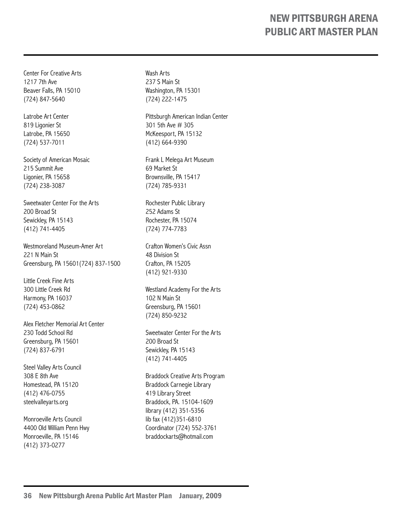Center For Creative Arts 1217 7th Ave Beaver Falls, PA 15010 (724) 847-5640

Latrobe Art Center 819 Ligonier St Latrobe, PA 15650 (724) 537-7011

Society of American Mosaic 215 Summit Ave Ligonier, PA 15658 (724) 238-3087

Sweetwater Center For the Arts 200 Broad St Sewickley, PA 15143 (412) 741-4405

Westmoreland Museum-Amer Art 221 N Main St Greensburg, PA 15601(724) 837-1500

Little Creek Fine Arts 300 Little Creek Rd Harmony, PA 16037 (724) 453-0862

Alex Fletcher Memorial Art Center 230 Todd School Rd Greensburg, PA 15601 (724) 837-6791

Steel Valley Arts Council 308 E 8th Ave Homestead, PA 15120 (412) 476-0755 steelvalleyarts.org

Monroeville Arts Council 4400 Old William Penn Hwy Monroeville, PA 15146 (412) 373-0277

Wash Arts 237 S Main St Washington, PA 15301 (724) 222-1475

Pittsburgh American Indian Center 301 5th Ave # 305 McKeesport, PA 15132 (412) 664-9390

Frank L Melega Art Museum 69 Market St Brownsville, PA 15417 (724) 785-9331

Rochester Public Library 252 Adams St Rochester, PA 15074 (724) 774-7783

Crafton Women's Civic Assn 48 Division St Crafton, PA 15205 (412) 921-9330

Westland Academy For the Arts 102 N Main St Greensburg, PA 15601 (724) 850-9232

Sweetwater Center For the Arts 200 Broad St Sewickley, PA 15143 (412) 741-4405

Braddock Creative Arts Program Braddock Carnegie Library 419 Library Street Braddock, PA. 15104-1609 library (412) 351-5356 lib fax (412)351-6810 Coordinator (724) 552-3761 braddockarts@hotmail.com